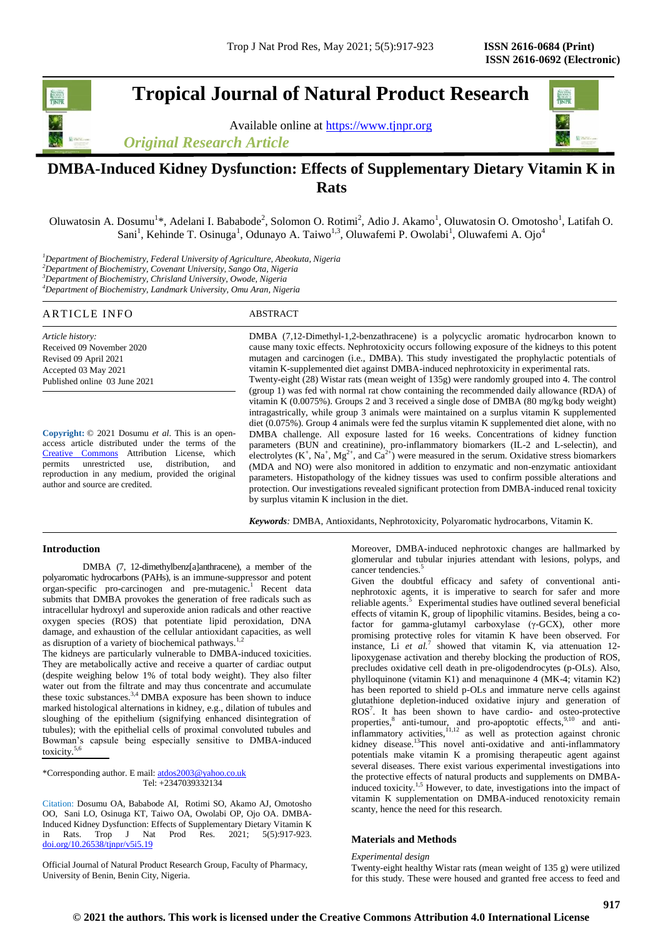**Tropical Journal of Natural Product Research**

Available online at [https://www.tjnpr.org](https://www.tjnpr.org/) *Original Research Article*



# **DMBA-Induced Kidney Dysfunction: Effects of Supplementary Dietary Vitamin K in Rats**

Oluwatosin A. Dosumu<sup>1\*</sup>, Adelani I. Bababode<sup>2</sup>, Solomon O. Rotimi<sup>2</sup>, Adio J. Akamo<sup>1</sup>, Oluwatosin O. Omotosho<sup>1</sup>, Latifah O. Sani<sup>1</sup>, Kehinde T. Osinuga<sup>1</sup>, Odunayo A. Taiwo<sup>1,3</sup>, Oluwafemi P. Owolabi<sup>1</sup>, Oluwafemi A. Ojo<sup>4</sup>

*Department of Biochemistry, Federal University of Agriculture, Abeokuta, Nigeria Department of Biochemistry, Covenant University, Sango Ota, Nigeria Department of Biochemistry, Chrisland University, Owode, Nigeria Department of Biochemistry, Landmark University, Omu Aran, Nigeria*

| ABSTRACT                                                                                                                                                                                                                                                                                                                                                                                                                                                                                                                                                                                                                                                                                                                                                                                  |
|-------------------------------------------------------------------------------------------------------------------------------------------------------------------------------------------------------------------------------------------------------------------------------------------------------------------------------------------------------------------------------------------------------------------------------------------------------------------------------------------------------------------------------------------------------------------------------------------------------------------------------------------------------------------------------------------------------------------------------------------------------------------------------------------|
| DMBA (7,12-Dimethyl-1,2-benzathracene) is a polycyclic aromatic hydrocarbon known to<br>cause many toxic effects. Nephrotoxicity occurs following exposure of the kidneys to this potent<br>mutagen and carcinogen (i.e., DMBA). This study investigated the prophylactic potentials of<br>vitamin K-supplemented diet against DMBA-induced nephrotoxicity in experimental rats.<br>Twenty-eight (28) Wistar rats (mean weight of 135g) were randomly grouped into 4. The control<br>(group 1) was fed with normal rat chow containing the recommended daily allowance (RDA) of<br>vitamin K $(0.0075\%)$ . Groups 2 and 3 received a single dose of DMBA $(80 \text{ mg/kg}$ body weight)<br>intragastrically, while group 3 animals were maintained on a surplus vitamin K supplemented |
|                                                                                                                                                                                                                                                                                                                                                                                                                                                                                                                                                                                                                                                                                                                                                                                           |

**Copyright:** © 2021 Dosumu *et al*. This is an openaccess article distributed under the terms of the [Creative Commons](https://creativecommons.org/licenses/by/4.0/) Attribution License, which permits unrestricted use, distribution, and reproduction in any medium, provided the original author and source are credited.

diet (0.075%). Group 4 animals were fed the surplus vitamin K supplemented diet alone, with no DMBA challenge. All exposure lasted for 16 weeks. Concentrations of kidney function parameters (BUN and creatinine), pro-inflammatory biomarkers (IL-2 and L-selectin), and electrolytes  $(K^+, Na^+, Mg^{2+}, and Ca^{2+})$  were measured in the serum. Oxidative stress biomarkers (MDA and NO) were also monitored in addition to enzymatic and non-enzymatic antioxidant parameters. Histopathology of the kidney tissues was used to confirm possible alterations and protection. Our investigations revealed significant protection from DMBA-induced renal toxicity by surplus vitamin K inclusion in the diet.

*Keywords:* DMBA, Antioxidants, Nephrotoxicity, Polyaromatic hydrocarbons, Vitamin K.

## **Introduction**

DMBA (7, 12-dimethylbenz[a]anthracene), a member of the polyaromatic hydrocarbons (PAHs), is an immune-suppressor and potent organ-specific pro-carcinogen and pre-mutagenic.<sup>1</sup> Recent data submits that DMBA provokes the generation of free radicals such as intracellular hydroxyl and superoxide anion radicals and other reactive oxygen species (ROS) that potentiate lipid peroxidation, DNA damage, and exhaustion of the cellular antioxidant capacities, as well as disruption of a variety of biochemical pathways.<sup>1,2</sup>

The kidneys are particularly vulnerable to DMBA-induced toxicities. They are metabolically active and receive a quarter of cardiac output (despite weighing below 1% of total body weight). They also filter water out from the filtrate and may thus concentrate and accumulate these toxic substances.<sup>3,4</sup> DMBA exposure has been shown to induce marked histological alternations in kidney, e.g., dilation of tubules and sloughing of the epithelium (signifying enhanced disintegration of tubules); with the epithelial cells of proximal convoluted tubules and Bowman's capsule being especially sensitive to DMBA-induced toxicity.

\*Corresponding author. E mail: atdos2003@yahoo.co.uk Tel: +2347039332134

Citation: Dosumu OA, Bababode AI, Rotimi SO, Akamo AJ, Omotosho OO, Sani LO, Osinuga KT, Taiwo OA, Owolabi OP, Ojo OA. DMBA-Induced Kidney Dysfunction: Effects of Supplementary Dietary Vitamin K in Rats. Trop J Nat Prod Res. 2021; 5(5):917-923. [doi.org/10.26538/tjnpr/v5i5.1](http://www.doi.org/10.26538/tjnpr/v1i4.5)9

Official Journal of Natural Product Research Group, Faculty of Pharmacy, University of Benin, Benin City, Nigeria.

Moreover, DMBA-induced nephrotoxic changes are hallmarked by glomerular and tubular injuries attendant with lesions, polyps, and cancer tendencies.<sup>5</sup>

Given the doubtful efficacy and safety of conventional antinephrotoxic agents, it is imperative to search for safer and more reliable agents.<sup>5</sup> Experimental studies have outlined several beneficial effects of vitamin K, group of lipophilic vitamins. Besides, being a cofactor for gamma-glutamyl carboxylase (γ-GCX), other more promising protective roles for vitamin K have been observed. For instance, Li *et al.*<sup>7</sup> showed that vitamin K, via attenuation 12lipoxygenase activation and thereby blocking the production of ROS, precludes oxidative cell death in pre-oligodendrocytes (p-OLs). Also, phylloquinone (vitamin K1) and menaquinone 4 (MK-4; vitamin K2) has been reported to shield p-OLs and immature nerve cells against glutathione depletion-induced oxidative injury and generation of ROS<sup>7</sup> . It has been shown to have cardio- and osteo-protective properties, $\delta$  anti-tumour, and pro-apoptotic effects, $\delta$ ,<sup>9,10</sup> and anti $infl$ ammatory activities, $11,12$  as well as protection against chronic kidney disease.<sup>13</sup>This novel anti-oxidative and anti-inflammatory potentials make vitamin K a promising therapeutic agent against several diseases. There exist various experimental investigations into the protective effects of natural products and supplements on DMBAinduced toxicity.1,5 However, to date, investigations into the impact of vitamin K supplementation on DMBA-induced renotoxicity remain scanty, hence the need for this research.

# **Materials and Methods**

# *Experimental design*

Twenty-eight healthy Wistar rats (mean weight of 135 g) were utilized for this study. These were housed and granted free access to feed and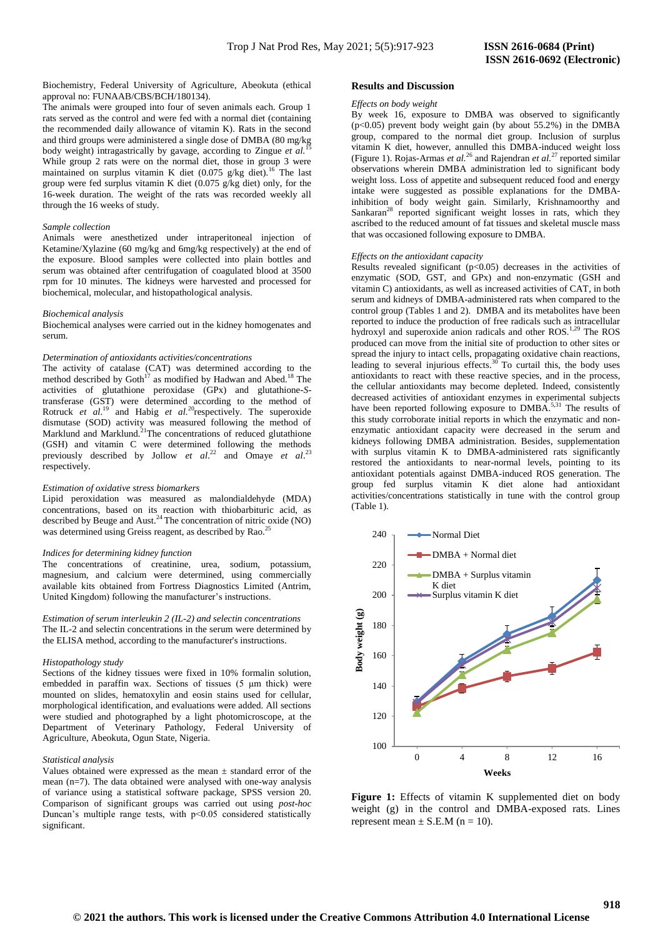Biochemistry, Federal University of Agriculture, Abeokuta (ethical approval no: FUNAAB/CBS/BCH/180134).

The animals were grouped into four of seven animals each. Group 1 rats served as the control and were fed with a normal diet (containing the recommended daily allowance of vitamin K). Rats in the second and third groups were administered a single dose of DMBA (80 mg/kg body weight) intragastrically by gavage, according to Zingue et al. While group 2 rats were on the normal diet, those in group 3 were maintained on surplus vitamin K diet (0.075 g/kg diet).<sup>16</sup> The last group were fed surplus vitamin K diet (0.075 g/kg diet) only, for the 16-week duration. The weight of the rats was recorded weekly all through the 16 weeks of study.

## *Sample collection*

Animals were anesthetized under intraperitoneal injection of Ketamine/Xylazine (60 mg/kg and 6mg/kg respectively) at the end of the exposure. Blood samples were collected into plain bottles and serum was obtained after centrifugation of coagulated blood at 3500 rpm for 10 minutes. The kidneys were harvested and processed for biochemical, molecular, and histopathological analysis.

#### *Biochemical analysis*

Biochemical analyses were carried out in the kidney homogenates and serum.

#### *Determination of antioxidants activities/concentrations*

The activity of catalase (CAT) was determined according to the method described by Goth<sup>17</sup> as modified by Hadwan and Abed.<sup>18</sup> The activities of glutathione peroxidase (GPx) and glutathione-*S*transferase (GST) were determined according to the method of Rotruck *et al.*<sup>19</sup> and Habig *et al.*<sup>20</sup>respectively. The superoxide dismutase (SOD) activity was measured following the method of Marklund and Marklund.<sup>21</sup>The concentrations of reduced glutathione (GSH) and vitamin C were determined following the methods previously described by Jollow *et al.*<sup>22</sup> and Omaye *et al.*<sup>23</sup> respectively.

#### *Estimation of oxidative stress biomarkers*

Lipid peroxidation was measured as malondialdehyde (MDA) concentrations, based on its reaction with thiobarbituric acid, as described by Beuge and Aust.<sup>24</sup> The concentration of nitric oxide (NO) was determined using Greiss reagent, as described by Rao.<sup>2</sup>

## *Indices for determining kidney function*

The concentrations of creatinine, urea, sodium, potassium, magnesium, and calcium were determined, using commercially available kits obtained from Fortress Diagnostics Limited (Antrim, United Kingdom) following the manufacturer's instructions.

*Estimation of serum interleukin 2 (IL-2) and selectin concentrations* The IL-2 and selectin concentrations in the serum were determined by the ELISA method, according to the manufacturer's instructions.

#### *Histopathology study*

Sections of the kidney tissues were fixed in 10% formalin solution, embedded in paraffin wax. Sections of tissues (5 μm thick) were mounted on slides, hematoxylin and eosin stains used for cellular, morphological identification, and evaluations were added. All sections were studied and photographed by a light photomicroscope, at the Department of Veterinary Pathology, Federal University of Agriculture, Abeokuta, Ogun State, Nigeria.

## *Statistical analysis*

Values obtained were expressed as the mean ± standard error of the mean (n=7). The data obtained were analysed with one-way analysis of variance using a statistical software package, SPSS version 20. Comparison of significant groups was carried out using *post-hoc* Duncan's multiple range tests, with p<0.05 considered statistically significant.

## **Results and Discussion**

#### *Effects on body weight*

By week 16, exposure to DMBA was observed to significantly (p<0.05) prevent body weight gain (by about 55.2%) in the DMBA group, compared to the normal diet group. Inclusion of surplus vitamin K diet, however, annulled this DMBA-induced weight loss (Figure 1). Rojas-Armas *et al.*<sup>26</sup> and Rajendran *et al.*<sup>27</sup> reported similar observations wherein DMBA administration led to significant body weight loss. Loss of appetite and subsequent reduced food and energy intake were suggested as possible explanations for the DMBAinhibition of body weight gain. Similarly, Krishnamoorthy and Sankaran<sup>28</sup> reported significant weight losses in rats, which they ascribed to the reduced amount of fat tissues and skeletal muscle mass that was occasioned following exposure to DMBA.

## *Effects on the antioxidant capacity*

Results revealed significant  $(p<0.05)$  decreases in the activities of enzymatic (SOD, GST, and GPx) and non-enzymatic (GSH and vitamin C) antioxidants, as well as increased activities of CAT, in both serum and kidneys of DMBA-administered rats when compared to the control group (Tables 1 and 2). DMBA and its metabolites have been reported to induce the production of free radicals such as intracellular hydroxyl and superoxide anion radicals and other ROS.<sup>1,29</sup> The ROS produced can move from the initial site of production to other sites or spread the injury to intact cells, propagating oxidative chain reactions, leading to several injurious effects.<sup>30</sup> To curtail this, the body uses antioxidants to react with these reactive species, and in the process, the cellular antioxidants may become depleted. Indeed, consistently decreased activities of antioxidant enzymes in experimental subjects have been reported following exposure to DMBA.<sup>5,31</sup> The results of this study corroborate initial reports in which the enzymatic and nonenzymatic antioxidant capacity were decreased in the serum and kidneys following DMBA administration. Besides, supplementation with surplus vitamin K to DMBA-administered rats significantly restored the antioxidants to near-normal levels, pointing to its antioxidant potentials against DMBA-induced ROS generation. The group fed surplus vitamin K diet alone had antioxidant activities/concentrations statistically in tune with the control group (Table 1).



Figure 1: Effects of vitamin K supplemented diet on body weight (g) in the control and DMBA-exposed rats. Lines represent mean  $\pm$  S.E.M (n = 10).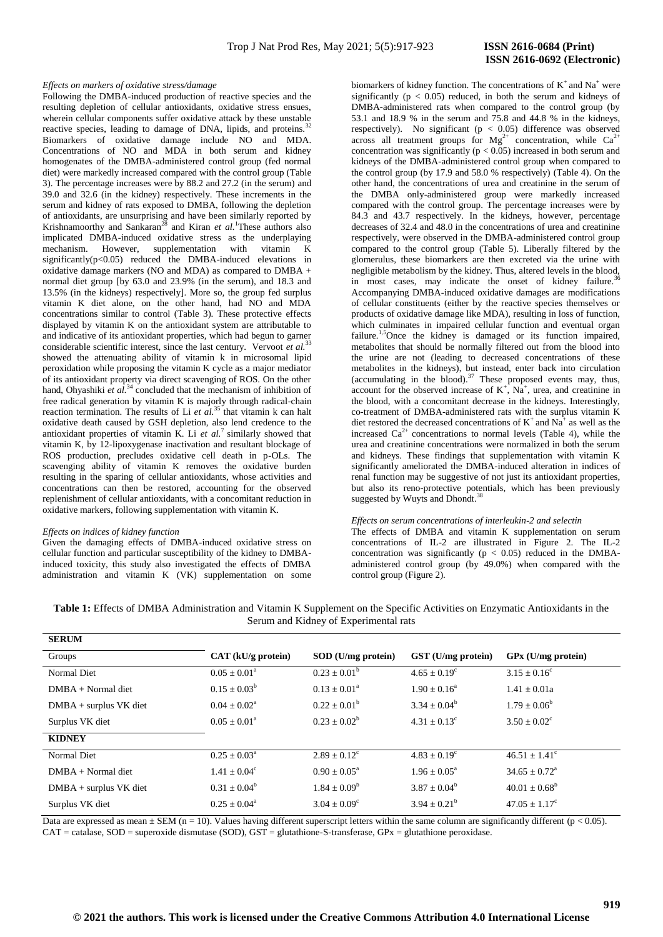## *Effects on markers of oxidative stress/damage*

Following the DMBA-induced production of reactive species and the resulting depletion of cellular antioxidants, oxidative stress ensues, wherein cellular components suffer oxidative attack by these unstable reactive species, leading to damage of DNA, lipids, and proteins.<sup>32</sup> Biomarkers of oxidative damage include NO and MDA. Concentrations of NO and MDA in both serum and kidney homogenates of the DMBA-administered control group (fed normal diet) were markedly increased compared with the control group (Table 3). The percentage increases were by 88.2 and 27.2 (in the serum) and 39.0 and 32.6 (in the kidney) respectively. These increments in the serum and kidney of rats exposed to DMBA, following the depletion of antioxidants, are unsurprising and have been similarly reported by Krishnamoorthy and Sankaran<sup>28</sup> and Kiran *et al.* These authors also implicated DMBA-induced oxidative stress as the underplaying mechanism. However, supplementation with vitamin K significantly( $p<0.05$ ) reduced the DMBA-induced elevations in oxidative damage markers (NO and MDA) as compared to DMBA + normal diet group [by 63.0 and 23.9% (in the serum), and 18.3 and 13.5% (in the kidneys) respectively]. More so, the group fed surplus vitamin K diet alone, on the other hand, had NO and MDA concentrations similar to control (Table 3). These protective effects displayed by vitamin K on the antioxidant system are attributable to and indicative of its antioxidant properties, which had begun to garner considerable scientific interest, since the last century. Vervoot *et al.*<sup>33</sup> showed the attenuating ability of vitamin k in microsomal lipid peroxidation while proposing the vitamin K cycle as a major mediator of its antioxidant property via direct scavenging of ROS. On the other hand, Ohyashiki *et al.*<sup>34</sup> concluded that the mechanism of inhibition of free radical generation by vitamin K is majorly through radical-chain reaction termination. The results of Li *et al.*<sup>35</sup> that vitamin k can halt oxidative death caused by GSH depletion, also lend credence to the antioxidant properties of vitamin K. Li  $et al.<sup>7</sup>$  similarly showed that vitamin K, by 12-lipoxygenase inactivation and resultant blockage of ROS production, precludes oxidative cell death in p-OLs. The scavenging ability of vitamin K removes the oxidative burden resulting in the sparing of cellular antioxidants, whose activities and concentrations can then be restored, accounting for the observed replenishment of cellular antioxidants, with a concomitant reduction in oxidative markers, following supplementation with vitamin K.

## *Effects on indices of kidney function*

Given the damaging effects of DMBA-induced oxidative stress on cellular function and particular susceptibility of the kidney to DMBAinduced toxicity, this study also investigated the effects of DMBA administration and vitamin K (VK) supplementation on some

biomarkers of kidney function. The concentrations of  $K^+$  and Na<sup>+</sup> were significantly ( $p < 0.05$ ) reduced, in both the serum and kidneys of DMBA-administered rats when compared to the control group (by 53.1 and 18.9 % in the serum and 75.8 and 44.8 % in the kidneys, respectively). No significant ( $p < 0.05$ ) difference was observed across all treatment groups for  $Mg^{2+}$  concentration, while  $Ca^{2+}$ concentration was significantly ( $p < 0.05$ ) increased in both serum and kidneys of the DMBA-administered control group when compared to the control group (by 17.9 and 58.0 % respectively) (Table 4). On the other hand, the concentrations of urea and creatinine in the serum of the DMBA only-administered group were markedly increased compared with the control group. The percentage increases were by 84.3 and 43.7 respectively. In the kidneys, however, percentage decreases of 32.4 and 48.0 in the concentrations of urea and creatinine respectively, were observed in the DMBA-administered control group compared to the control group (Table 5). Liberally filtered by the glomerulus, these biomarkers are then excreted via the urine with negligible metabolism by the kidney. Thus, altered levels in the blood, in most cases, may indicate the onset of kidney failure. Accompanying DMBA-induced oxidative damages are modifications of cellular constituents (either by the reactive species themselves or products of oxidative damage like MDA), resulting in loss of function, which culminates in impaired cellular function and eventual organ failure.<sup>1,5</sup>Once the kidney is damaged or its function impaired, metabolites that should be normally filtered out from the blood into the urine are not (leading to decreased concentrations of these metabolites in the kidneys), but instead, enter back into circulation (accumulating in the blood).<sup>37</sup> These proposed events may, thus, account for the observed increase of  $K^+$ ,  $Na^+$ , urea, and creatinine in the blood, with a concomitant decrease in the kidneys. Interestingly, co-treatment of DMBA-administered rats with the surplus vitamin K diet restored the decreased concentrations of  $K^+$  and  $Na^+$  as well as the increased  $Ca^{2+}$  concentrations to normal levels (Table 4), while the urea and creatinine concentrations were normalized in both the serum and kidneys. These findings that supplementation with vitamin K significantly ameliorated the DMBA-induced alteration in indices of renal function may be suggestive of not just its antioxidant properties, but also its reno-protective potentials, which has been previously suggested by Wuyts and Dhondt.

#### *Effects on serum concentrations of interleukin-2 and selectin*

The effects of DMBA and vitamin K supplementation on serum concentrations of IL-2 are illustrated in Figure 2. The IL-2 concentration was significantly ( $p < 0.05$ ) reduced in the DMBAadministered control group (by 49.0%) when compared with the control group (Figure 2).

| Table 1: Effects of DMBA Administration and Vitamin K Supplement on the Specific Activities on Enzymatic Antioxidants in the |
|------------------------------------------------------------------------------------------------------------------------------|
| Serum and Kidney of Experimental rats                                                                                        |

| <b>SERUM</b>             |                            |                            |                            |                             |
|--------------------------|----------------------------|----------------------------|----------------------------|-----------------------------|
| Groups                   | CAT (kU/g protein)         | $SOD$ (U/mg protein)       | GST (U/mg protein)         | $GPx$ (U/mg protein)        |
| Normal Diet              | $0.05 \pm 0.01^a$          | $0.23 \pm 0.01^b$          | $4.65 \pm 0.19^{\circ}$    | $3.15 \pm 0.16^c$           |
| $DMBA + Normal$          | $0.15 \pm 0.03^b$          | $0.13 + 0.01^a$            | $1.90 \pm 0.16^a$          | $1.41 \pm 0.01a$            |
| $DMBA + surplus$ VK diet | $0.04 \pm 0.02^{\text{a}}$ | $0.22 \pm 0.01^b$          | $3.34 \pm 0.04^b$          | $1.79 \pm 0.06^b$           |
| Surplus VK diet          | $0.05 \pm 0.01^{\circ}$    | $0.23 + 0.02^b$            | $4.31 + 0.13^c$            | $3.50 \pm 0.02^{\circ}$     |
| <b>KIDNEY</b>            |                            |                            |                            |                             |
| Normal Diet              | $0.25 \pm 0.03^{\text{a}}$ | $2.89 \pm 0.12^{\circ}$    | $4.83 \pm 0.19^{\circ}$    | $46.51 \pm 1.41^{\circ}$    |
| $DMBA + Normal$          | $1.41 \pm 0.04^c$          | $0.90 \pm 0.05^{\text{a}}$ | $1.96 \pm 0.05^{\text{a}}$ | $34.65 \pm 0.72^{\text{a}}$ |
| $DMBA + surplus$ VK diet | $0.31 \pm 0.04^b$          | $1.84 \pm 0.09^b$          | $3.87 + 0.04^b$            | $40.01 + 0.68^b$            |
| Surplus VK diet          | $0.25 \pm 0.04^a$          | $3.04 \pm 0.09^{\circ}$    | $3.94 + 0.21^b$            | $47.05 \pm 1.17^c$          |
|                          |                            |                            |                            |                             |

Data are expressed as mean  $\pm$  SEM (n = 10). Values having different superscript letters within the same column are significantly different (p < 0.05).  $CAT = \text{catalase}, SOD = \text{supercxide}$  dismutase (SOD),  $GST = \text{glutathione-S-transferase}, GPx = \text{glutathione peroxidase}.$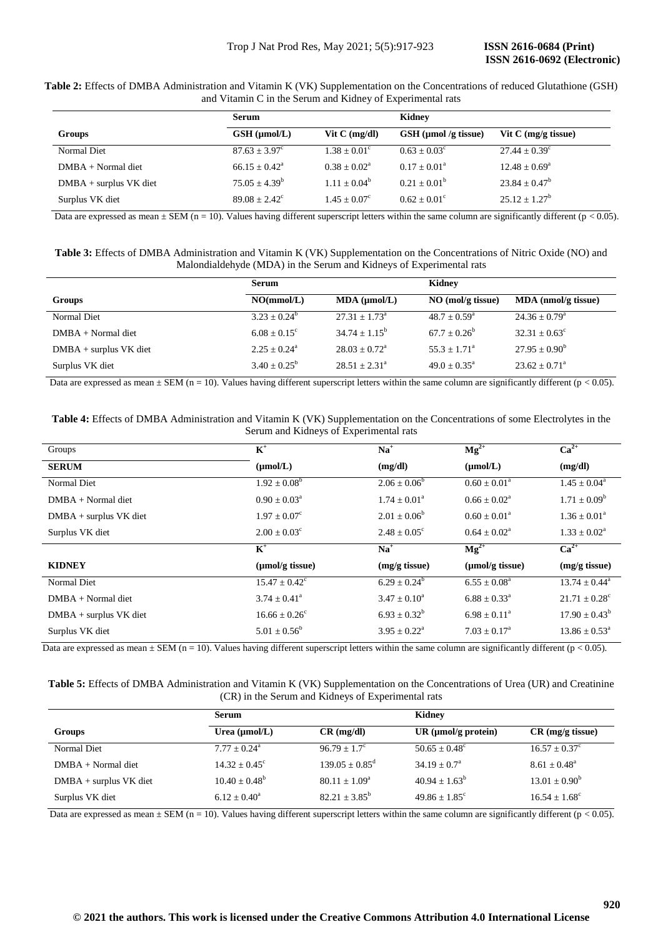**Table 2:** Effects of DMBA Administration and Vitamin K (VK) Supplementation on the Concentrations of reduced Glutathione (GSH) and Vitamin C in the Serum and Kidney of Experimental rats

|                          | Serum                  |                       | Kidney                 |                                             |
|--------------------------|------------------------|-----------------------|------------------------|---------------------------------------------|
| Groups                   | $GSH$ ( $\mu$ mol/L)   | Vit $C \, (mg/dl)$    | $GSH$ (µmol /g tissue) | Vit $C \left( \frac{mg}{g} \right)$ tissue) |
| Normal Diet              | $87.63 + 3.97^{\circ}$ | $1.38 + 0.01^{\circ}$ | $0.63 + 0.03^{\circ}$  | $27.44 \pm 0.39^{\circ}$                    |
| $DMBA + Normal$ diet     | $66.15 + 0.42^a$       | $0.38 + 0.02^a$       | $0.17 + 0.01^a$        | $12.48 \pm 0.69^{\circ}$                    |
| $DMBA + surplus$ VK diet | $75.05 \pm 4.39^b$     | $1.11 + 0.04^b$       | $0.21 + 0.01^b$        | $23.84 \pm 0.47^b$                          |
| Surplus VK diet          | $89.08 + 2.42^{\circ}$ | $1.45 + 0.07^{\circ}$ | $0.62 + 0.01^{\circ}$  | $25.12 + 1.27^b$                            |

Data are expressed as mean  $\pm$  SEM (n = 10). Values having different superscript letters within the same column are significantly different (p < 0.05).

**Table 3:** Effects of DMBA Administration and Vitamin K (VK) Supplementation on the Concentrations of Nitric Oxide (NO) and Malondialdehyde (MDA) in the Serum and Kidneys of Experimental rats

|                          | <b>Serum</b>          |                          | Kidney                |                          |
|--------------------------|-----------------------|--------------------------|-----------------------|--------------------------|
| Groups                   | NO(mmol/L)            | $MDA$ ( $µmol/L$ )       | $NO$ (mol/g tissue)   | MDA (nmol/g tissue)      |
| Normal Diet              | $3.23 + 0.24^b$       | $27.31 \pm 1.73^{\circ}$ | $48.7 + 0.59^{\circ}$ | $24.36 \pm 0.79^{\circ}$ |
| $DMBA + Normal$ diet     | $6.08 + 0.15^{\circ}$ | $34.74 + 1.15^b$         | $67.7 + 0.26^b$       | $32.31 \pm 0.63^{\circ}$ |
| $DMBA + surplus$ VK diet | $2.25 + 0.24^a$       | $28.03 + 0.72^a$         | $55.3 + 1.71^{\circ}$ | $27.95 \pm 0.90^b$       |
| Surplus VK diet          | $3.40 + 0.25^b$       | $28.51 + 2.31^a$         | $49.0 + 0.35^{\circ}$ | $23.62 + 0.71^a$         |

Data are expressed as mean  $\pm$  SEM (n = 10). Values having different superscript letters within the same column are significantly different (p < 0.05).

**Table 4:** Effects of DMBA Administration and Vitamin K (VK) Supplementation on the Concentrations of some Electrolytes in the Serum and Kidneys of Experimental rats

| Groups                   | $\mathbf{K}^+$              | $Na+$                      | $Mg^{2+}$                   | $Ca^{2+}$                     |
|--------------------------|-----------------------------|----------------------------|-----------------------------|-------------------------------|
| <b>SERUM</b>             | $(\mu mol/L)$               | (mg/dl)                    | $(\mu mol/L)$               | (mg/dl)                       |
| Normal Diet              | $1.92 \pm 0.08^b$           | $2.06 \pm 0.06^b$          | $0.60 \pm 0.01^{\text{a}}$  | $1.45 \pm 0.04^{\circ}$       |
| $DMBA + Normal$          | $0.90 \pm 0.03^{\text{a}}$  | $1.74 \pm 0.01^a$          | $0.66 \pm 0.02^{\text{a}}$  | $1.71 \pm 0.09^b$             |
| $DMBA + surplus$ VK diet | $1.97 \pm 0.07^{\circ}$     | $2.01 \pm 0.06^b$          | $0.60 \pm 0.01^{\circ}$     | $1.36 \pm 0.01^{\circ}$       |
| Surplus VK diet          | $2.00 \pm 0.03^{\circ}$     | $2.48 \pm 0.05^{\circ}$    | $0.64 \pm 0.02^{\text{a}}$  | $1.33 \pm 0.02^{\text{a}}$    |
|                          | $K^+$                       | $\mathbf{Na}^+$            | $Mg^{2+}$                   | $Ca2+$                        |
| <b>KIDNEY</b>            | $(\mu \text{mol/g tissue})$ | (mg/g tissue)              | $(\mu \text{mol/g tissue})$ | (mg/g tissue)                 |
| Normal Diet              | $15.47 \pm 0.42^{\circ}$    | $6.29 \pm 0.24^b$          | $6.55 \pm 0.08^a$           | $13.74 \pm 0.44^{\circ}$      |
| $DMBA + Normal$          | $3.74 \pm 0.41^{\circ}$     | $3.47 \pm 0.10^a$          | $6.88 \pm 0.33^{\circ}$     | $21.71 \pm 0.28$ <sup>c</sup> |
| $DMBA + surplus$ VK diet | $16.66 \pm 0.26^{\circ}$    | $6.93 \pm 0.32^b$          | $6.98 \pm 0.11^{\circ}$     | $17.90 + 0.43^b$              |
| Surplus VK diet          | $5.01 \pm 0.56^b$           | $3.95 \pm 0.22^{\text{a}}$ | $7.03 \pm 0.17^{\text{a}}$  | $13.86 \pm 0.53^{\circ}$      |

Data are expressed as mean  $\pm$  SEM (n = 10). Values having different superscript letters within the same column are significantly different (p < 0.05).

**Table 5:** Effects of DMBA Administration and Vitamin K (VK) Supplementation on the Concentrations of Urea (UR) and Creatinine (CR) in the Serum and Kidneys of Experimental rats

|                          | Serum                     |                            | Kidney                    |                        |  |
|--------------------------|---------------------------|----------------------------|---------------------------|------------------------|--|
| Groups                   | Urea $(\mu \text{mol/L})$ | $CR$ (mg/dl)               | UR ( $\mu$ mol/g protein) | $CR$ (mg/g tissue)     |  |
| Normal Diet              | $7.77 \pm 0.24^{\circ}$   | $96.79 + 1.7^{\circ}$      | $50.65 + 0.48^{\circ}$    | $16.57 \pm 0.37^c$     |  |
| $DMBA + Normal$          | $14.32 + 0.45^{\circ}$    | $139.05 + 0.85^{\text{d}}$ | $34.19 + 0.7a$            | $8.61 + 0.48^a$        |  |
| $DMBA + surplus$ VK diet | $10.40 + 0.48^b$          | $80.11 \pm 1.09^{\circ}$   | $40.94 + 1.63^b$          | $13.01 \pm 0.90^b$     |  |
| Surplus VK diet          | $6.12 + 0.40^a$           | $82.21 + 3.85^b$           | $49.86 + 1.85^{\circ}$    | $16.54 + 1.68^{\circ}$ |  |

Data are expressed as mean  $\pm$  SEM (n = 10). Values having different superscript letters within the same column are significantly different (p < 0.05).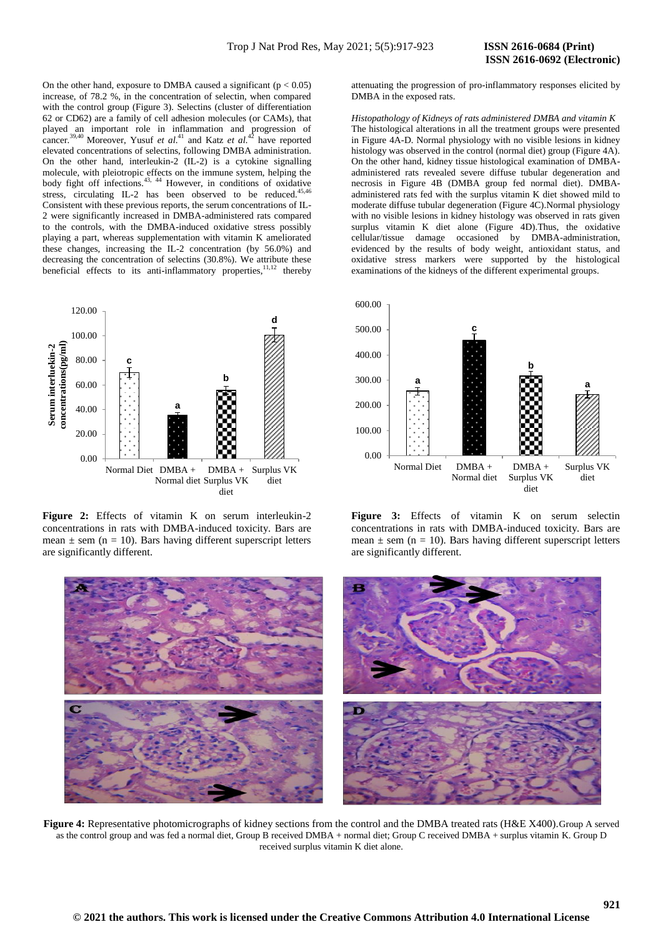On the other hand, exposure to DMBA caused a significant ( $p < 0.05$ ) increase, of 78.2 %, in the concentration of selectin, when compared with the control group (Figure 3). Selectins (cluster of differentiation 62 or CD62) are a family of cell adhesion molecules (or CAMs), that played an important role in inflammation and progression of cancer.<sup>39,40</sup> Moreover, Yusuf *et al.*<sup>41</sup> and Katz *et al.*<sup>42</sup> have reported elevated concentrations of selectins, following DMBA administration. On the other hand, interleukin-2 (IL-2) is a cytokine signalling molecule, with pleiotropic effects on the immune system, helping the body fight off infections.<sup>43, 44</sup> However, in conditions of oxidative stress, circulating IL-2 has been observed to be reduced. $4$ Consistent with these previous reports, the serum concentrations of IL-2 were significantly increased in DMBA-administered rats compared to the controls, with the DMBA-induced oxidative stress possibly playing a part, whereas supplementation with vitamin K ameliorated these changes, increasing the IL-2 concentration (by 56.0%) and decreasing the concentration of selectins (30.8%). We attribute these beneficial effects to its anti-inflammatory properties,  $11,12$  thereby



Figure 2: Effects of vitamin K on serum interleukin-2 concentrations in rats with DMBA-induced toxicity. Bars are mean  $\pm$  sem (n = 10). Bars having different superscript letters are significantly different.

attenuating the progression of pro-inflammatory responses elicited by DMBA in the exposed rats.

*Histopathology of Kidneys of rats administered DMBA and vitamin K*  The histological alterations in all the treatment groups were presented in Figure 4A-D. Normal physiology with no visible lesions in kidney histology was observed in the control (normal diet) group (Figure 4A). On the other hand, kidney tissue histological examination of DMBAadministered rats revealed severe diffuse tubular degeneration and necrosis in Figure 4B (DMBA group fed normal diet). DMBAadministered rats fed with the surplus vitamin K diet showed mild to moderate diffuse tubular degeneration (Figure 4C).Normal physiology with no visible lesions in kidney histology was observed in rats given surplus vitamin K diet alone (Figure 4D).Thus, the oxidative cellular/tissue damage occasioned by DMBA-administration, evidenced by the results of body weight, antioxidant status, and oxidative stress markers were supported by the histological examinations of the kidneys of the different experimental groups.



**Figure 3:** Effects of vitamin K on serum selectin concentrations in rats with DMBA-induced toxicity. Bars are mean  $\pm$  sem (n = 10). Bars having different superscript letters are significantly different.



**Figure 4:** Representative photomicrographs of kidney sections from the control and the DMBA treated rats (H&E X400). Group A served as the control group and was fed a normal diet, Group B received DMBA + normal diet; Group C received DMBA + surplus vitamin K. Group D received surplus vitamin K diet alone.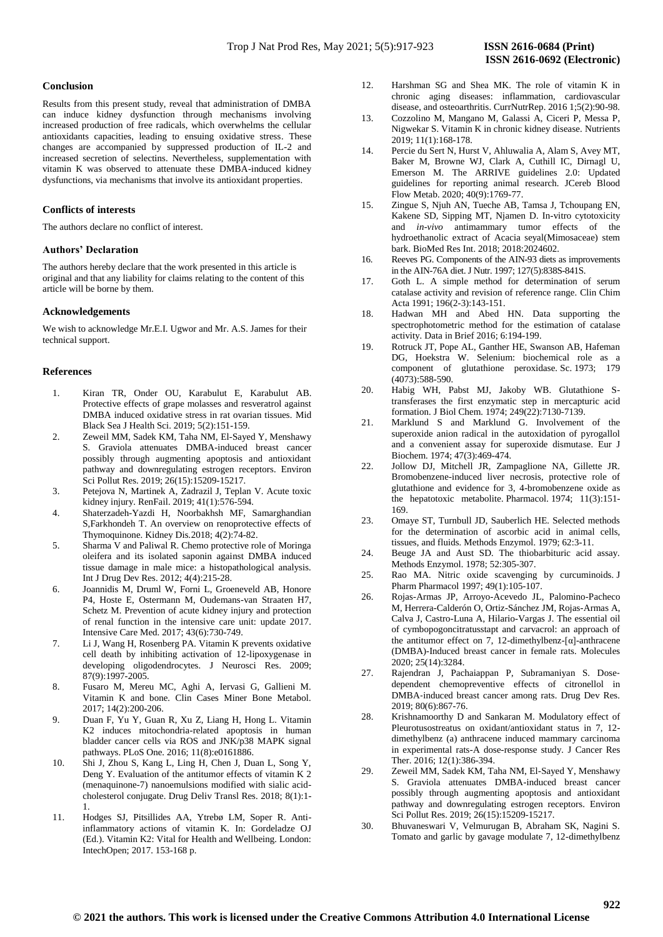# **Conclusion**

Results from this present study, reveal that administration of DMBA can induce kidney dysfunction through mechanisms involving increased production of free radicals, which overwhelms the cellular antioxidants capacities, leading to ensuing oxidative stress. These changes are accompanied by suppressed production of IL-2 and increased secretion of selectins. Nevertheless, supplementation with vitamin K was observed to attenuate these DMBA-induced kidney dysfunctions, via mechanisms that involve its antioxidant properties.

# **Conflicts of interests**

The authors declare no conflict of interest.

# **Authors' Declaration**

The authors hereby declare that the work presented in this article is original and that any liability for claims relating to the content of this article will be borne by them.

# **Acknowledgements**

We wish to acknowledge Mr.E.I. Ugwor and Mr. A.S. James for their technical support.

# **References**

- 1. Kiran TR, Onder OU, Karabulut E, Karabulut AB. Protective effects of grape molasses and resveratrol against DMBA induced oxidative stress in rat ovarian tissues. Mid Black Sea J Health Sci. 2019; 5(2):151-159.
- 2. Zeweil MM, Sadek KM, Taha NM, El-Sayed Y, Menshawy S. Graviola attenuates DMBA-induced breast cancer possibly through augmenting apoptosis and antioxidant pathway and downregulating estrogen receptors. Environ Sci Pollut Res. 2019; 26(15):15209-15217.
- 3. Petejova N, Martinek A, Zadrazil J, Teplan V. Acute toxic kidney injury. RenFail. 2019; 41(1):576-594.
- 4. Shaterzadeh-Yazdi H, Noorbakhsh MF, Samarghandian S,Farkhondeh T. An overview on renoprotective effects of Thymoquinone. Kidney Dis*.*2018; 4(2):74-82.
- 5. Sharma V and Paliwal R. Chemo protective role of Moringa oleifera and its isolated saponin against DMBA induced tissue damage in male mice: a histopathological analysis. Int J Drug Dev Res. 2012; 4(4):215-28.
- 6. Joannidis M, Druml W, Forni L, Groeneveld AB, Honore P4, Hoste E, Ostermann M, Oudemans-van Straaten H7, Schetz M. Prevention of acute kidney injury and protection of renal function in the intensive care unit: update 2017. Intensive Care Med. 2017; 43(6):730-749.
- 7. Li J, Wang H, Rosenberg PA. Vitamin K prevents oxidative cell death by inhibiting activation of 12-lipoxygenase in developing oligodendrocytes. J Neurosci Res. 2009; 87(9):1997-2005.
- 8. Fusaro M, Mereu MC, Aghi A, Iervasi G, Gallieni M. Vitamin K and bone. Clin Cases Miner Bone Metabol. 2017; 14(2):200-206.
- 9. Duan F, Yu Y, Guan R, Xu Z, Liang H, Hong L. Vitamin K2 induces mitochondria-related apoptosis in human bladder cancer cells via ROS and JNK/p38 MAPK signal pathways. PLoS One. 2016; 11(8):e0161886.
- 10. Shi J, Zhou S, Kang L, Ling H, Chen J, Duan L, Song Y, Deng Y. Evaluation of the antitumor effects of vitamin K 2 (menaquinone-7) nanoemulsions modified with sialic acidcholesterol conjugate. Drug Deliv Transl Res. 2018; 8(1):1- 1.
- 11. Hodges SJ, Pitsillides AA, Ytrebø LM, Soper R. Antiinflammatory actions of vitamin K. In: Gordeladze OJ (Ed.). Vitamin K2: Vital for Health and Wellbeing. London: IntechOpen; 2017. 153-168 p.
- 12. Harshman SG and Shea MK. The role of vitamin K in chronic aging diseases: inflammation, cardiovascular disease, and osteoarthritis. CurrNutrRep. 2016 1;5(2):90-98.
- 13. Cozzolino M, Mangano M, Galassi A, Ciceri P, Messa P, Nigwekar S. Vitamin K in chronic kidney disease. Nutrients 2019; 11(1):168-178.
- 14. Percie du Sert N, Hurst V, Ahluwalia A, Alam S, Avey MT, Baker M, Browne WJ, Clark A, Cuthill IC, Dirnagl U, Emerson M. The ARRIVE guidelines 2.0: Updated guidelines for reporting animal research. JCereb Blood Flow Metab. 2020; 40(9):1769-77.
- 15. Zingue S, Njuh AN, Tueche AB, Tamsa J, Tchoupang EN, Kakene SD, Sipping MT, Njamen D. In-vitro cytotoxicity and *in-vivo* antimammary tumor effects of the hydroethanolic extract of Acacia seyal(Mimosaceae) stem bark. BioMed Res Int. 2018; 2018:2024602.
- 16. Reeves PG. Components of the AIN-93 diets as improvements in the AIN-76A diet. J Nutr. 1997; 127(5):838S-841S.
- 17. Goth L. A simple method for determination of serum catalase activity and revision of reference range. Clin Chim Acta 1991; 196(2-3):143-151.
- 18. Hadwan MH and Abed HN. Data supporting the spectrophotometric method for the estimation of catalase activity. Data in Brief 2016; 6:194-199.
- 19. Rotruck JT, Pope AL, Ganther HE, Swanson AB, Hafeman DG, Hoekstra W. Selenium: biochemical role as a component of glutathione peroxidase. Sc. 1973; 179  $(4073)$ :588-590.
- 20. Habig WH, Pabst MJ, Jakoby WB. Glutathione Stransferases the first enzymatic step in mercapturic acid formation. J Biol Chem. 1974; 249(22):7130-7139.
- 21. Marklund S and Marklund G. Involvement of the superoxide anion radical in the autoxidation of pyrogallol and a convenient assay for superoxide dismutase. Eur J Biochem. 1974; 47(3):469-474.
- 22. Jollow DJ, Mitchell JR, Zampaglione NA, Gillette JR. Bromobenzene-induced liver necrosis, protective role of glutathione and evidence for 3, 4-bromobenzene oxide as the hepatotoxic metabolite. Pharmacol. 1974; 11(3):151- 169.
- 23. Omaye ST, Turnbull JD, Sauberlich HE. Selected methods for the determination of ascorbic acid in animal cells, tissues, and fluids. Methods Enzymol. 1979; 62:3-11.
- 24. Beuge JA and Aust SD. The thiobarbituric acid assay. Methods Enzymol. 1978; 52:305-307.
- 25. Rao MA. Nitric oxide scavenging by curcuminoids. J Pharm Pharmacol 1997; 49(1):105-107.
- 26. Rojas-Armas JP, Arroyo-Acevedo JL, Palomino-Pacheco M, Herrera-Calderón O, Ortiz-Sánchez JM, Rojas-Armas A, Calva J, Castro-Luna A, Hilario-Vargas J. The essential oil of cymbopogoncitratusstapt and carvacrol: an approach of the antitumor effect on 7, 12-dimethylbenz- $\lceil \alpha \rceil$ -anthracene (DMBA)-Induced breast cancer in female rats. Molecules 2020; 25(14):3284.
- 27. Rajendran J, Pachaiappan P, Subramaniyan S. Dose‐ dependent chemopreventive effects of citronellol in DMBA‐induced breast cancer among rats. Drug Dev Res. 2019; 80(6):867-76.
- 28. Krishnamoorthy D and Sankaran M. Modulatory effect of Pleurotusostreatus on oxidant/antioxidant status in 7, 12 dimethylbenz (a) anthracene induced mammary carcinoma in experimental rats-A dose-response study. J Cancer Res Ther. 2016; 12(1):386-394.
- 29. Zeweil MM, Sadek KM, Taha NM, El-Sayed Y, Menshawy S. Graviola attenuates DMBA-induced breast cancer possibly through augmenting apoptosis and antioxidant pathway and downregulating estrogen receptors. Environ Sci Pollut Res. 2019; 26(15):15209-15217.
- 30. Bhuvaneswari V, Velmurugan B, Abraham SK, Nagini S. Tomato and garlic by gavage modulate 7, 12-dimethylbenz